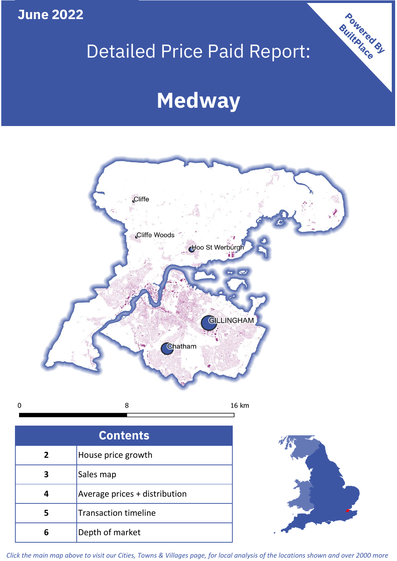**June 2022**

**5**

Transaction timeline

**6** Depth of market

# Detailed Price Paid Report:

Powered By

# **Medway**



*Click the main map above to visit our Cities, Towns & Villages page, for local analysis of the locations shown and over 2000 more*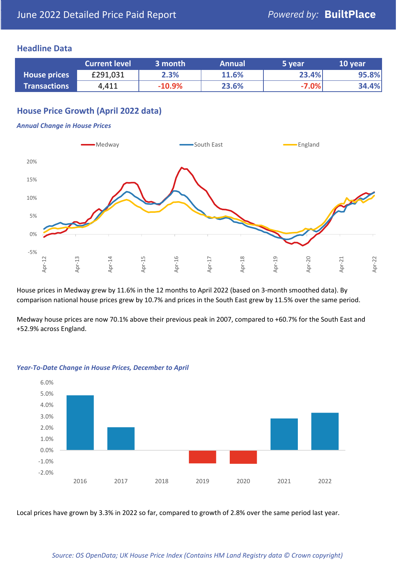### **Headline Data**

|                     | <b>Current level</b> | 3 month  | <b>Annual</b> | 5 year  | 10 year |
|---------------------|----------------------|----------|---------------|---------|---------|
| <b>House prices</b> | £291,031             | 2.3%     | 11.6%         | 23.4%   | 95.8%   |
| <b>Transactions</b> | 4,411                | $-10.9%$ | 23.6%         | $-7.0%$ | 34.4%   |

# **House Price Growth (April 2022 data)**

#### *Annual Change in House Prices*



House prices in Medway grew by 11.6% in the 12 months to April 2022 (based on 3-month smoothed data). By comparison national house prices grew by 10.7% and prices in the South East grew by 11.5% over the same period.

Medway house prices are now 70.1% above their previous peak in 2007, compared to +60.7% for the South East and +52.9% across England.



#### *Year-To-Date Change in House Prices, December to April*

Local prices have grown by 3.3% in 2022 so far, compared to growth of 2.8% over the same period last year.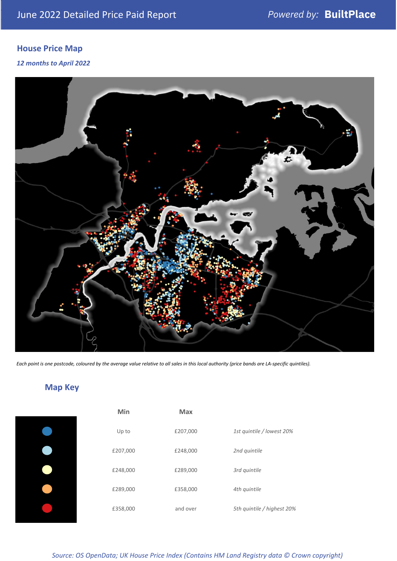# **House Price Map**

*12 months to April 2022*



*Each point is one postcode, coloured by the average value relative to all sales in this local authority (price bands are LA-specific quintiles).*

# **Map Key**

| Min      | <b>Max</b> |                            |
|----------|------------|----------------------------|
| Up to    | £207,000   | 1st quintile / lowest 20%  |
| £207,000 | £248,000   | 2nd quintile               |
| £248,000 | £289,000   | 3rd quintile               |
| £289,000 | £358,000   | 4th quintile               |
| £358,000 | and over   | 5th quintile / highest 20% |

*Source: OS OpenData; UK House Price Index (Contains HM Land Registry data © Crown copyright)*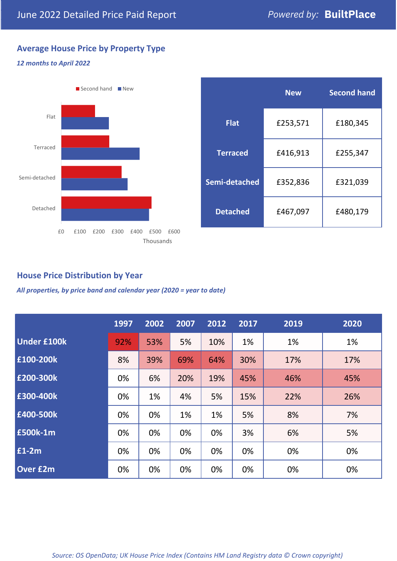# **Average House Price by Property Type**

#### *12 months to April 2022*



|                 | <b>New</b> | <b>Second hand</b> |  |  |
|-----------------|------------|--------------------|--|--|
| <b>Flat</b>     | £253,571   | £180,345           |  |  |
| <b>Terraced</b> | £416,913   | £255,347           |  |  |
| Semi-detached   | £352,836   | £321,039           |  |  |
| <b>Detached</b> | £467,097   | £480,179           |  |  |

# **House Price Distribution by Year**

*All properties, by price band and calendar year (2020 = year to date)*

|                    | 1997 | 2002 | 2007 | 2012 | 2017 | 2019 | 2020 |
|--------------------|------|------|------|------|------|------|------|
| <b>Under £100k</b> | 92%  | 53%  | 5%   | 10%  | 1%   | 1%   | 1%   |
| £100-200k          | 8%   | 39%  | 69%  | 64%  | 30%  | 17%  | 17%  |
| E200-300k          | 0%   | 6%   | 20%  | 19%  | 45%  | 46%  | 45%  |
| £300-400k          | 0%   | 1%   | 4%   | 5%   | 15%  | 22%  | 26%  |
| £400-500k          | 0%   | 0%   | 1%   | 1%   | 5%   | 8%   | 7%   |
| <b>£500k-1m</b>    | 0%   | 0%   | 0%   | 0%   | 3%   | 6%   | 5%   |
| £1-2m              | 0%   | 0%   | 0%   | 0%   | 0%   | 0%   | 0%   |
| <b>Over £2m</b>    | 0%   | 0%   | 0%   | 0%   | 0%   | 0%   | 0%   |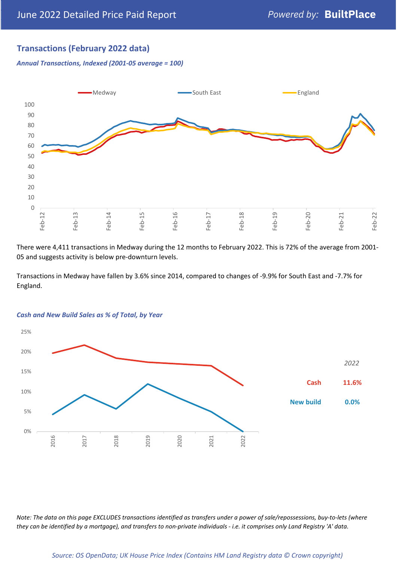# **Transactions (February 2022 data)**

*Annual Transactions, Indexed (2001-05 average = 100)*



There were 4,411 transactions in Medway during the 12 months to February 2022. This is 72% of the average from 2001- 05 and suggests activity is below pre-downturn levels.

Transactions in Medway have fallen by 3.6% since 2014, compared to changes of -9.9% for South East and -7.7% for England.



#### *Cash and New Build Sales as % of Total, by Year*

*Note: The data on this page EXCLUDES transactions identified as transfers under a power of sale/repossessions, buy-to-lets (where they can be identified by a mortgage), and transfers to non-private individuals - i.e. it comprises only Land Registry 'A' data.*